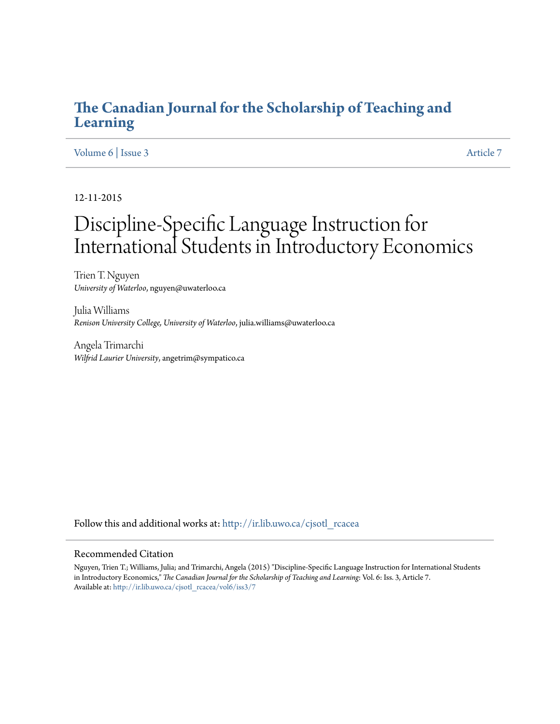## **[The Canadian Journal for the Scholarship of Teaching and](http://ir.lib.uwo.ca/cjsotl_rcacea?utm_source=ir.lib.uwo.ca%2Fcjsotl_rcacea%2Fvol6%2Fiss3%2F7&utm_medium=PDF&utm_campaign=PDFCoverPages) [Learning](http://ir.lib.uwo.ca/cjsotl_rcacea?utm_source=ir.lib.uwo.ca%2Fcjsotl_rcacea%2Fvol6%2Fiss3%2F7&utm_medium=PDF&utm_campaign=PDFCoverPages)**

## [Volume 6](http://ir.lib.uwo.ca/cjsotl_rcacea/vol6?utm_source=ir.lib.uwo.ca%2Fcjsotl_rcacea%2Fvol6%2Fiss3%2F7&utm_medium=PDF&utm_campaign=PDFCoverPages) | [Issue 3](http://ir.lib.uwo.ca/cjsotl_rcacea/vol6/iss3?utm_source=ir.lib.uwo.ca%2Fcjsotl_rcacea%2Fvol6%2Fiss3%2F7&utm_medium=PDF&utm_campaign=PDFCoverPages) [Article 7](http://ir.lib.uwo.ca/cjsotl_rcacea/vol6/iss3/7?utm_source=ir.lib.uwo.ca%2Fcjsotl_rcacea%2Fvol6%2Fiss3%2F7&utm_medium=PDF&utm_campaign=PDFCoverPages)

12-11-2015

# Discipline-Specific Language Instruction for International Students in Introductory Economics

Trien T. Nguyen *University of Waterloo*, nguyen@uwaterloo.ca

Julia Williams *Renison University College, University of Waterloo*, julia.williams@uwaterloo.ca

Angela Trimarchi *Wilfrid Laurier University*, angetrim@sympatico.ca

Follow this and additional works at: [http://ir.lib.uwo.ca/cjsotl\\_rcacea](http://ir.lib.uwo.ca/cjsotl_rcacea?utm_source=ir.lib.uwo.ca%2Fcjsotl_rcacea%2Fvol6%2Fiss3%2F7&utm_medium=PDF&utm_campaign=PDFCoverPages)

#### Recommended Citation

Nguyen, Trien T.; Williams, Julia; and Trimarchi, Angela (2015) "Discipline-Specific Language Instruction for International Students in Introductory Economics," *The Canadian Journal for the Scholarship of Teaching and Learning*: Vol. 6: Iss. 3, Article 7. Available at: [http://ir.lib.uwo.ca/cjsotl\\_rcacea/vol6/iss3/7](http://ir.lib.uwo.ca/cjsotl_rcacea/vol6/iss3/7?utm_source=ir.lib.uwo.ca%2Fcjsotl_rcacea%2Fvol6%2Fiss3%2F7&utm_medium=PDF&utm_campaign=PDFCoverPages)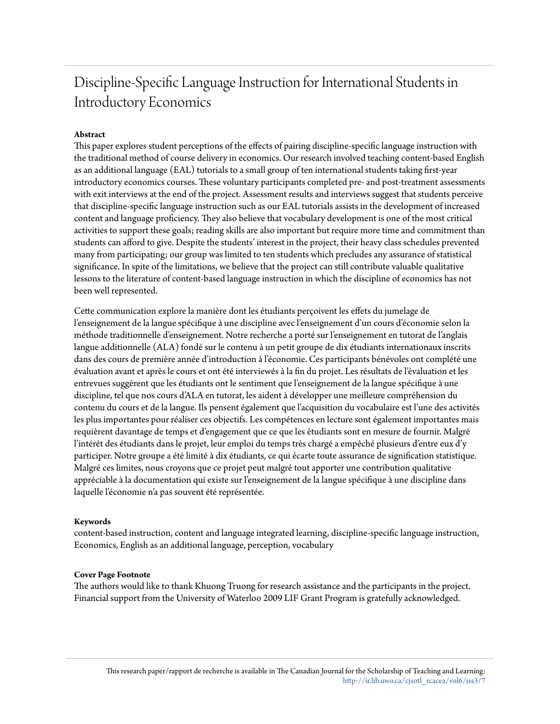## Discipline-Specific Language Instruction for International Students in Introductory Economics

## **Abstract**

This paper explores student perceptions of the effects of pairing discipline-specific language instruction with the traditional method of course delivery in economics. Our research involved teaching content-based English as an additional language (EAL) tutorials to a small group of ten international students taking first-year introductory economics courses. These voluntary participants completed pre- and post-treatment assessments with exit interviews at the end of the project. Assessment results and interviews suggest that students perceive that discipline-specific language instruction such as our EAL tutorials assists in the development of increased content and language proficiency. They also believe that vocabulary development is one of the most critical activities to support these goals; reading skills are also important but require more time and commitment than students can afford to give. Despite the students' interest in the project, their heavy class schedules prevented many from participating; our group was limited to ten students which precludes any assurance of statistical significance. In spite of the limitations, we believe that the project can still contribute valuable qualitative lessons to the literature of content-based language instruction in which the discipline of economics has not been well represented.

Cette communication explore la manière dont les étudiants perçoivent les effets du jumelage de l'enseignement de la langue spécifique à une discipline avec l'enseignement d'un cours d'économie selon la méthode traditionnelle d'enseignement. Notre recherche a porté sur l'enseignement en tutorat de l'anglais langue additionnelle (ALA) fondé sur le contenu à un petit groupe de dix étudiants internationaux inscrits dans des cours de première année d'introduction à l'économie. Ces participants bénévoles ont complété une évaluation avant et après le cours et ont été interviewés à la fin du projet. Les résultats de l'évaluation et les entrevues suggèrent que les étudiants ont le sentiment que l'enseignement de la langue spécifique à une discipline, tel que nos cours d'ALA en tutorat, les aident à développer une meilleure compréhension du contenu du cours et de la langue. Ils pensent également que l'acquisition du vocabulaire est l'une des activités les plus importantes pour réaliser ces objectifs. Les compétences en lecture sont également importantes mais requièrent davantage de temps et d'engagement que ce que les étudiants sont en mesure de fournir. Malgré l'intérêt des étudiants dans le projet, leur emploi du temps très chargé a empêché plusieurs d'entre eux d'y participer. Notre groupe a été limité à dix étudiants, ce qui écarte toute assurance de signification statistique. Malgré ces limites, nous croyons que ce projet peut malgré tout apporter une contribution qualitative appréciable à la documentation qui existe sur l'enseignement de la langue spécifique à une discipline dans laquelle l'économie n'a pas souvent été représentée.

## **Keywords**

content-based instruction, content and language integrated learning, discipline-specific language instruction, Economics, English as an additional language, perception, vocabulary

#### **Cover Page Footnote**

The authors would like to thank Khuong Truong for research assistance and the participants in the project. Financial support from the University of Waterloo 2009 LIF Grant Program is gratefully acknowledged.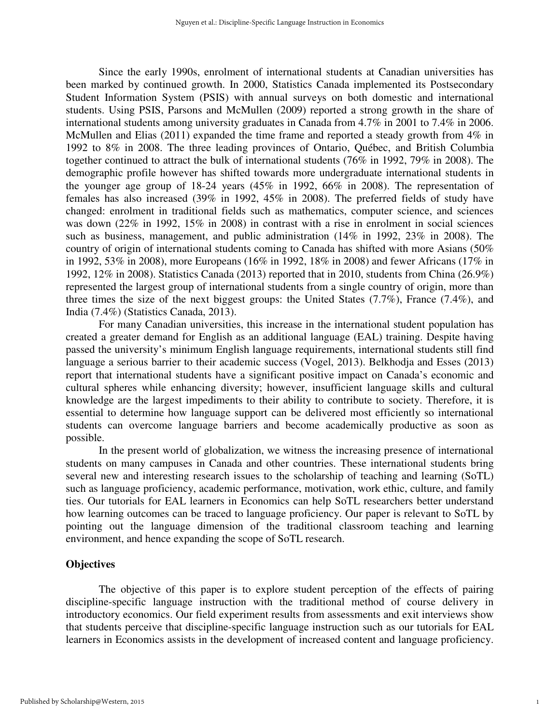Since the early 1990s, enrolment of international students at Canadian universities has been marked by continued growth. In 2000, Statistics Canada implemented its Postsecondary Student Information System (PSIS) with annual surveys on both domestic and international students. Using PSIS, Parsons and McMullen (2009) reported a strong growth in the share of international students among university graduates in Canada from 4.7% in 2001 to 7.4% in 2006. McMullen and Elias (2011) expanded the time frame and reported a steady growth from 4% in 1992 to 8% in 2008. The three leading provinces of Ontario, Québec, and British Columbia together continued to attract the bulk of international students (76% in 1992, 79% in 2008). The demographic profile however has shifted towards more undergraduate international students in the younger age group of 18-24 years (45% in 1992, 66% in 2008). The representation of females has also increased (39% in 1992, 45% in 2008). The preferred fields of study have changed: enrolment in traditional fields such as mathematics, computer science, and sciences was down (22% in 1992, 15% in 2008) in contrast with a rise in enrolment in social sciences such as business, management, and public administration (14% in 1992, 23% in 2008). The country of origin of international students coming to Canada has shifted with more Asians (50% in 1992, 53% in 2008), more Europeans (16% in 1992, 18% in 2008) and fewer Africans (17% in 1992, 12% in 2008). Statistics Canada (2013) reported that in 2010, students from China (26.9%) represented the largest group of international students from a single country of origin, more than three times the size of the next biggest groups: the United States (7.7%), France (7.4%), and India (7.4%) (Statistics Canada, 2013).

For many Canadian universities, this increase in the international student population has created a greater demand for English as an additional language (EAL) training. Despite having passed the university's minimum English language requirements, international students still find language a serious barrier to their academic success (Vogel, 2013). Belkhodja and Esses (2013) report that international students have a significant positive impact on Canada's economic and cultural spheres while enhancing diversity; however, insufficient language skills and cultural knowledge are the largest impediments to their ability to contribute to society. Therefore, it is essential to determine how language support can be delivered most efficiently so international students can overcome language barriers and become academically productive as soon as possible.

In the present world of globalization, we witness the increasing presence of international students on many campuses in Canada and other countries. These international students bring several new and interesting research issues to the scholarship of teaching and learning (SoTL) such as language proficiency, academic performance, motivation, work ethic, culture, and family ties. Our tutorials for EAL learners in Economics can help SoTL researchers better understand how learning outcomes can be traced to language proficiency. Our paper is relevant to SoTL by pointing out the language dimension of the traditional classroom teaching and learning environment, and hence expanding the scope of SoTL research.

#### **Objectives**

The objective of this paper is to explore student perception of the effects of pairing discipline-specific language instruction with the traditional method of course delivery in introductory economics. Our field experiment results from assessments and exit interviews show that students perceive that discipline-specific language instruction such as our tutorials for EAL learners in Economics assists in the development of increased content and language proficiency.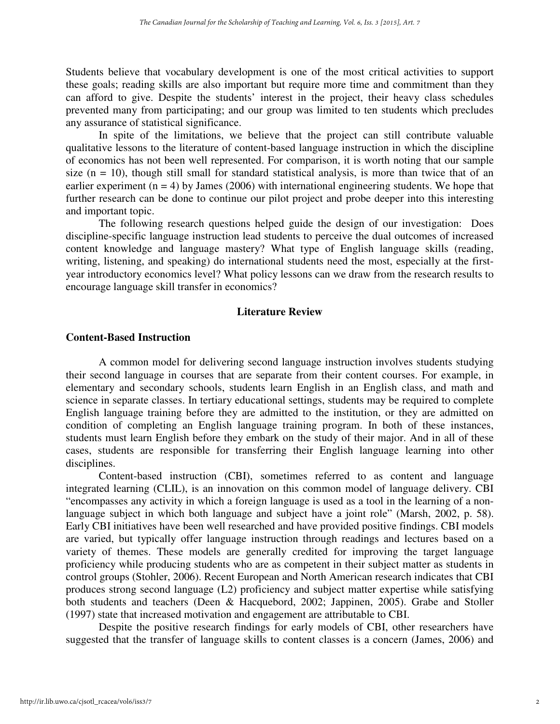Students believe that vocabulary development is one of the most critical activities to support these goals; reading skills are also important but require more time and commitment than they can afford to give. Despite the students' interest in the project, their heavy class schedules prevented many from participating; and our group was limited to ten students which precludes any assurance of statistical significance.

In spite of the limitations, we believe that the project can still contribute valuable qualitative lessons to the literature of content-based language instruction in which the discipline of economics has not been well represented. For comparison, it is worth noting that our sample size  $(n = 10)$ , though still small for standard statistical analysis, is more than twice that of an earlier experiment  $(n = 4)$  by James (2006) with international engineering students. We hope that further research can be done to continue our pilot project and probe deeper into this interesting and important topic.

The following research questions helped guide the design of our investigation: Does discipline-specific language instruction lead students to perceive the dual outcomes of increased content knowledge and language mastery? What type of English language skills (reading, writing, listening, and speaking) do international students need the most, especially at the firstyear introductory economics level? What policy lessons can we draw from the research results to encourage language skill transfer in economics?

#### **Literature Review**

## **Content-Based Instruction**

A common model for delivering second language instruction involves students studying their second language in courses that are separate from their content courses. For example, in elementary and secondary schools, students learn English in an English class, and math and science in separate classes. In tertiary educational settings, students may be required to complete English language training before they are admitted to the institution, or they are admitted on condition of completing an English language training program. In both of these instances, students must learn English before they embark on the study of their major. And in all of these cases, students are responsible for transferring their English language learning into other disciplines.

Content-based instruction (CBI), sometimes referred to as content and language integrated learning (CLIL), is an innovation on this common model of language delivery. CBI "encompasses any activity in which a foreign language is used as a tool in the learning of a nonlanguage subject in which both language and subject have a joint role" (Marsh, 2002, p. 58). Early CBI initiatives have been well researched and have provided positive findings. CBI models are varied, but typically offer language instruction through readings and lectures based on a variety of themes. These models are generally credited for improving the target language proficiency while producing students who are as competent in their subject matter as students in control groups (Stohler, 2006). Recent European and North American research indicates that CBI produces strong second language (L2) proficiency and subject matter expertise while satisfying both students and teachers (Deen & Hacquebord, 2002; Jappinen, 2005). Grabe and Stoller (1997) state that increased motivation and engagement are attributable to CBI.

Despite the positive research findings for early models of CBI, other researchers have suggested that the transfer of language skills to content classes is a concern (James, 2006) and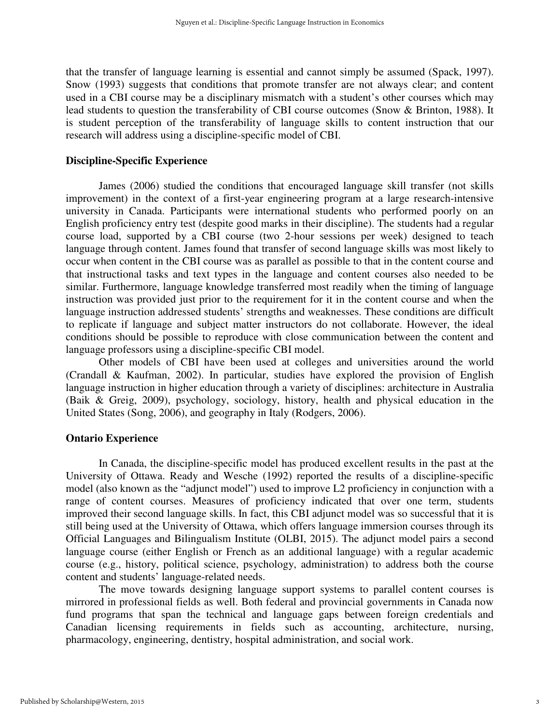that the transfer of language learning is essential and cannot simply be assumed (Spack, 1997). Snow (1993) suggests that conditions that promote transfer are not always clear; and content used in a CBI course may be a disciplinary mismatch with a student's other courses which may lead students to question the transferability of CBI course outcomes (Snow & Brinton, 1988). It is student perception of the transferability of language skills to content instruction that our research will address using a discipline-specific model of CBI.

#### **Discipline-Specific Experience**

James (2006) studied the conditions that encouraged language skill transfer (not skills improvement) in the context of a first-year engineering program at a large research-intensive university in Canada. Participants were international students who performed poorly on an English proficiency entry test (despite good marks in their discipline). The students had a regular course load, supported by a CBI course (two 2-hour sessions per week) designed to teach language through content. James found that transfer of second language skills was most likely to occur when content in the CBI course was as parallel as possible to that in the content course and that instructional tasks and text types in the language and content courses also needed to be similar. Furthermore, language knowledge transferred most readily when the timing of language instruction was provided just prior to the requirement for it in the content course and when the language instruction addressed students' strengths and weaknesses. These conditions are difficult to replicate if language and subject matter instructors do not collaborate. However, the ideal conditions should be possible to reproduce with close communication between the content and language professors using a discipline-specific CBI model.

Other models of CBI have been used at colleges and universities around the world (Crandall & Kaufman, 2002). In particular, studies have explored the provision of English language instruction in higher education through a variety of disciplines: architecture in Australia (Baik & Greig, 2009), psychology, sociology, history, health and physical education in the United States (Song, 2006), and geography in Italy (Rodgers, 2006).

#### **Ontario Experience**

In Canada, the discipline-specific model has produced excellent results in the past at the University of Ottawa. Ready and Wesche (1992) reported the results of a discipline-specific model (also known as the "adjunct model") used to improve L2 proficiency in conjunction with a range of content courses. Measures of proficiency indicated that over one term, students improved their second language skills. In fact, this CBI adjunct model was so successful that it is still being used at the University of Ottawa, which offers language immersion courses through its Official Languages and Bilingualism Institute (OLBI, 2015). The adjunct model pairs a second language course (either English or French as an additional language) with a regular academic course (e.g., history, political science, psychology, administration) to address both the course content and students' language-related needs.

The move towards designing language support systems to parallel content courses is mirrored in professional fields as well. Both federal and provincial governments in Canada now fund programs that span the technical and language gaps between foreign credentials and Canadian licensing requirements in fields such as accounting, architecture, nursing, pharmacology, engineering, dentistry, hospital administration, and social work.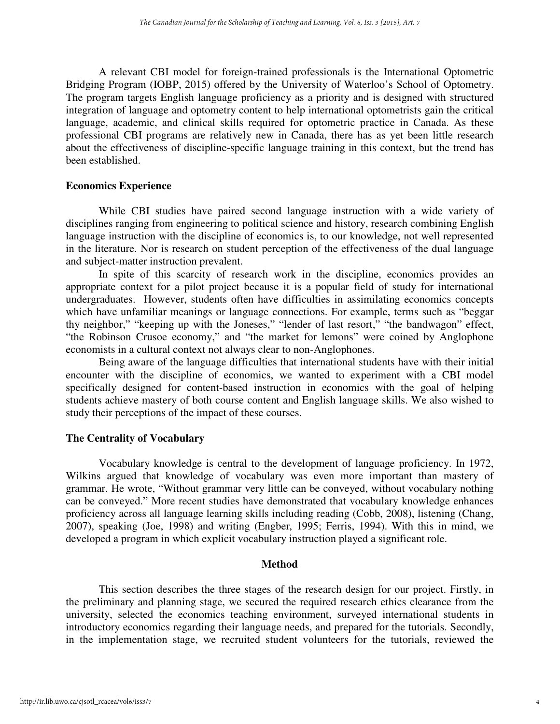A relevant CBI model for foreign-trained professionals is the International Optometric Bridging Program (IOBP, 2015) offered by the University of Waterloo's School of Optometry. The program targets English language proficiency as a priority and is designed with structured integration of language and optometry content to help international optometrists gain the critical language, academic, and clinical skills required for optometric practice in Canada. As these professional CBI programs are relatively new in Canada, there has as yet been little research about the effectiveness of discipline-specific language training in this context, but the trend has been established.

## **Economics Experience**

While CBI studies have paired second language instruction with a wide variety of disciplines ranging from engineering to political science and history, research combining English language instruction with the discipline of economics is, to our knowledge, not well represented in the literature. Nor is research on student perception of the effectiveness of the dual language and subject-matter instruction prevalent.

In spite of this scarcity of research work in the discipline, economics provides an appropriate context for a pilot project because it is a popular field of study for international undergraduates. However, students often have difficulties in assimilating economics concepts which have unfamiliar meanings or language connections. For example, terms such as "beggar thy neighbor," "keeping up with the Joneses," "lender of last resort," "the bandwagon" effect, "the Robinson Crusoe economy," and "the market for lemons" were coined by Anglophone economists in a cultural context not always clear to non-Anglophones.

Being aware of the language difficulties that international students have with their initial encounter with the discipline of economics, we wanted to experiment with a CBI model specifically designed for content-based instruction in economics with the goal of helping students achieve mastery of both course content and English language skills. We also wished to study their perceptions of the impact of these courses.

## **The Centrality of Vocabulary**

Vocabulary knowledge is central to the development of language proficiency. In 1972, Wilkins argued that knowledge of vocabulary was even more important than mastery of grammar. He wrote, "Without grammar very little can be conveyed, without vocabulary nothing can be conveyed." More recent studies have demonstrated that vocabulary knowledge enhances proficiency across all language learning skills including reading (Cobb, 2008), listening (Chang, 2007), speaking (Joe, 1998) and writing (Engber, 1995; Ferris, 1994). With this in mind, we developed a program in which explicit vocabulary instruction played a significant role.

## **Method**

This section describes the three stages of the research design for our project. Firstly, in the preliminary and planning stage, we secured the required research ethics clearance from the university, selected the economics teaching environment, surveyed international students in introductory economics regarding their language needs, and prepared for the tutorials. Secondly, in the implementation stage, we recruited student volunteers for the tutorials, reviewed the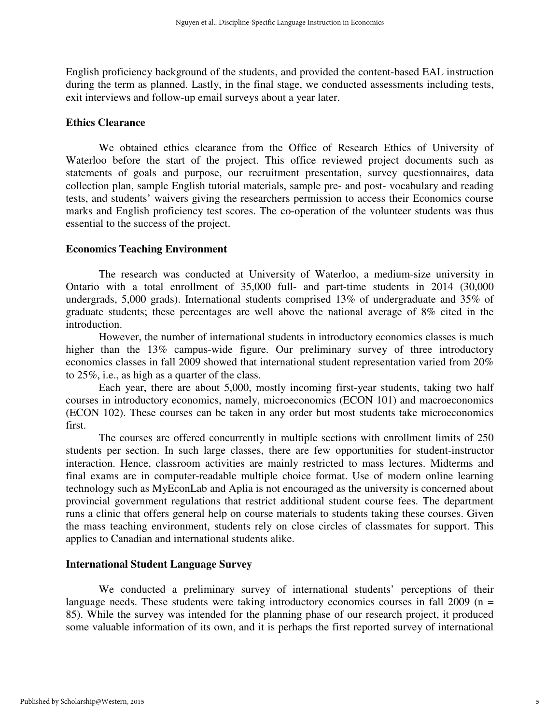English proficiency background of the students, and provided the content-based EAL instruction during the term as planned. Lastly, in the final stage, we conducted assessments including tests, exit interviews and follow-up email surveys about a year later.

#### **Ethics Clearance**

We obtained ethics clearance from the Office of Research Ethics of University of Waterloo before the start of the project. This office reviewed project documents such as statements of goals and purpose, our recruitment presentation, survey questionnaires, data collection plan, sample English tutorial materials, sample pre- and post- vocabulary and reading tests, and students' waivers giving the researchers permission to access their Economics course marks and English proficiency test scores. The co-operation of the volunteer students was thus essential to the success of the project.

#### **Economics Teaching Environment**

The research was conducted at University of Waterloo, a medium-size university in Ontario with a total enrollment of 35,000 full- and part-time students in 2014 (30,000 undergrads, 5,000 grads). International students comprised 13% of undergraduate and 35% of graduate students; these percentages are well above the national average of 8% cited in the introduction.

However, the number of international students in introductory economics classes is much higher than the 13% campus-wide figure. Our preliminary survey of three introductory economics classes in fall 2009 showed that international student representation varied from 20% to 25%, i.e., as high as a quarter of the class.

Each year, there are about 5,000, mostly incoming first-year students, taking two half courses in introductory economics, namely, microeconomics (ECON 101) and macroeconomics (ECON 102). These courses can be taken in any order but most students take microeconomics first.

The courses are offered concurrently in multiple sections with enrollment limits of 250 students per section. In such large classes, there are few opportunities for student-instructor interaction. Hence, classroom activities are mainly restricted to mass lectures. Midterms and final exams are in computer-readable multiple choice format. Use of modern online learning technology such as MyEconLab and Aplia is not encouraged as the university is concerned about provincial government regulations that restrict additional student course fees. The department runs a clinic that offers general help on course materials to students taking these courses. Given the mass teaching environment, students rely on close circles of classmates for support. This applies to Canadian and international students alike.

#### **International Student Language Survey**

We conducted a preliminary survey of international students' perceptions of their language needs. These students were taking introductory economics courses in fall 2009 ( $n =$ 85). While the survey was intended for the planning phase of our research project, it produced some valuable information of its own, and it is perhaps the first reported survey of international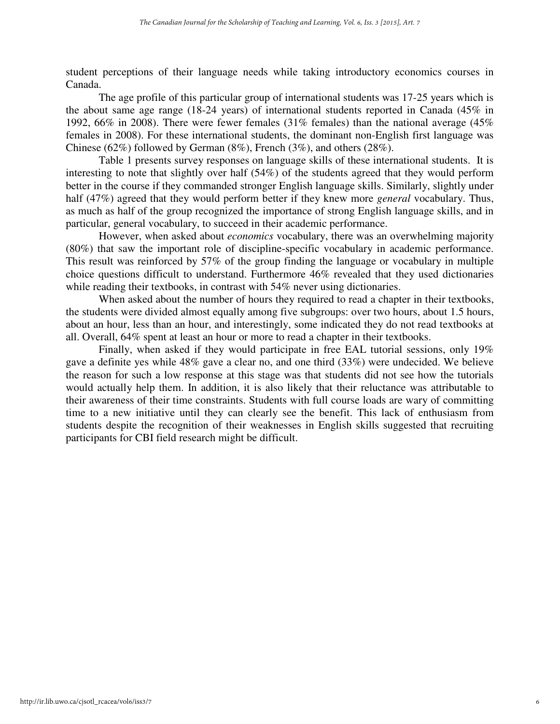student perceptions of their language needs while taking introductory economics courses in Canada.

The age profile of this particular group of international students was 17-25 years which is the about same age range (18-24 years) of international students reported in Canada (45% in 1992, 66% in 2008). There were fewer females (31% females) than the national average (45% females in 2008). For these international students, the dominant non-English first language was Chinese (62%) followed by German (8%), French (3%), and others (28%).

Table 1 presents survey responses on language skills of these international students. It is interesting to note that slightly over half (54%) of the students agreed that they would perform better in the course if they commanded stronger English language skills. Similarly, slightly under half (47%) agreed that they would perform better if they knew more *general* vocabulary. Thus, as much as half of the group recognized the importance of strong English language skills, and in particular, general vocabulary, to succeed in their academic performance.

However, when asked about *economics* vocabulary, there was an overwhelming majority (80%) that saw the important role of discipline-specific vocabulary in academic performance. This result was reinforced by 57% of the group finding the language or vocabulary in multiple choice questions difficult to understand. Furthermore 46% revealed that they used dictionaries while reading their textbooks, in contrast with 54% never using dictionaries.

When asked about the number of hours they required to read a chapter in their textbooks, the students were divided almost equally among five subgroups: over two hours, about 1.5 hours, about an hour, less than an hour, and interestingly, some indicated they do not read textbooks at all. Overall, 64% spent at least an hour or more to read a chapter in their textbooks.

Finally, when asked if they would participate in free EAL tutorial sessions, only 19% gave a definite yes while 48% gave a clear no, and one third (33%) were undecided. We believe the reason for such a low response at this stage was that students did not see how the tutorials would actually help them. In addition, it is also likely that their reluctance was attributable to their awareness of their time constraints. Students with full course loads are wary of committing time to a new initiative until they can clearly see the benefit. This lack of enthusiasm from students despite the recognition of their weaknesses in English skills suggested that recruiting participants for CBI field research might be difficult.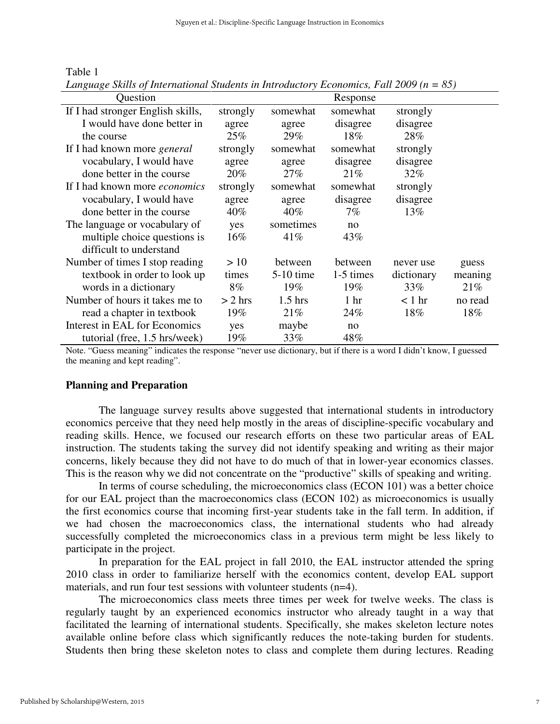| `able |  |
|-------|--|
|       |  |

| Question                          |           |             | Response        |            |         |
|-----------------------------------|-----------|-------------|-----------------|------------|---------|
| If I had stronger English skills, | strongly  | somewhat    | somewhat        | strongly   |         |
| I would have done better in       | agree     | agree       | disagree        | disagree   |         |
| the course                        | 25%       | 29%         | 18%             | 28%        |         |
| If I had known more general       | strongly  | somewhat    | somewhat        | strongly   |         |
| vocabulary, I would have          | agree     | agree       | disagree        | disagree   |         |
| done better in the course         | $20\%$    | $27\%$      | 21%             | 32%        |         |
| If I had known more economics     | strongly  | somewhat    | somewhat        | strongly   |         |
| vocabulary, I would have          | agree     | agree       | disagree        | disagree   |         |
| done better in the course         | $40\%$    | 40%         | $7\%$           | 13%        |         |
| The language or vocabulary of     | yes       | sometimes   | no              |            |         |
| multiple choice questions is      | $16\%$    | 41%         | 43\%            |            |         |
| difficult to understand           |           |             |                 |            |         |
| Number of times I stop reading    | >10       | between     | between         | never use  | guess   |
| textbook in order to look up      | times     | $5-10$ time | 1-5 times       | dictionary | meaning |
| words in a dictionary             | $8\%$     | 19%         | 19%             | 33%        | 21%     |
| Number of hours it takes me to    | $> 2$ hrs | $1.5$ hrs   | 1 <sub>hr</sub> | $< 1$ hr   | no read |
| read a chapter in textbook        | 19%       | 21%         | 24%             | 18%        | 18%     |
| Interest in EAL for Economics     | yes       | maybe       | no              |            |         |
| tutorial (free, 1.5 hrs/week)     | 19%       | 33%         | 48%             |            |         |

*Language Skills of International Students in Introductory Economics, Fall 2009 (n = 85)*

Note. "Guess meaning" indicates the response "never use dictionary, but if there is a word I didn't know, I guessed the meaning and kept reading".

#### **Planning and Preparation**

The language survey results above suggested that international students in introductory economics perceive that they need help mostly in the areas of discipline-specific vocabulary and reading skills. Hence, we focused our research efforts on these two particular areas of EAL instruction. The students taking the survey did not identify speaking and writing as their major concerns, likely because they did not have to do much of that in lower-year economics classes. This is the reason why we did not concentrate on the "productive" skills of speaking and writing.

In terms of course scheduling, the microeconomics class (ECON 101) was a better choice for our EAL project than the macroeconomics class (ECON 102) as microeconomics is usually the first economics course that incoming first-year students take in the fall term. In addition, if we had chosen the macroeconomics class, the international students who had already successfully completed the microeconomics class in a previous term might be less likely to participate in the project.

In preparation for the EAL project in fall 2010, the EAL instructor attended the spring 2010 class in order to familiarize herself with the economics content, develop EAL support materials, and run four test sessions with volunteer students (n=4).

The microeconomics class meets three times per week for twelve weeks. The class is regularly taught by an experienced economics instructor who already taught in a way that facilitated the learning of international students. Specifically, she makes skeleton lecture notes available online before class which significantly reduces the note-taking burden for students. Students then bring these skeleton notes to class and complete them during lectures. Reading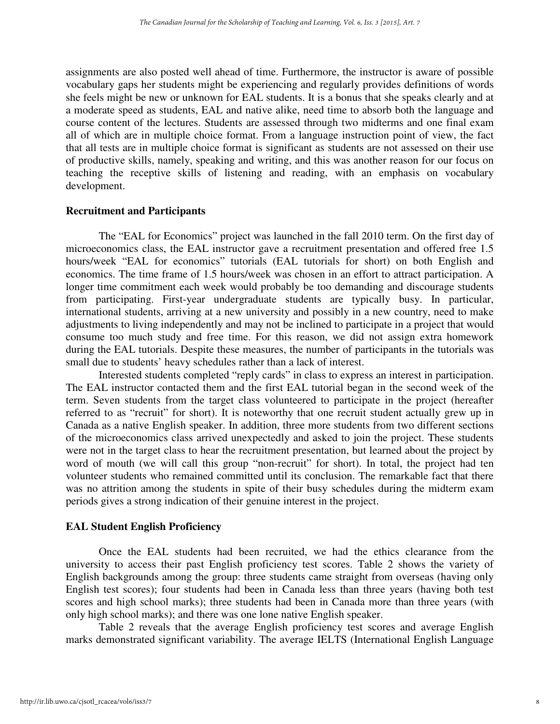assignments are also posted well ahead of time. Furthermore, the instructor is aware of possible vocabulary gaps her students might be experiencing and regularly provides definitions of words she feels might be new or unknown for EAL students. It is a bonus that she speaks clearly and at a moderate speed as students, EAL and native alike, need time to absorb both the language and course content of the lectures. Students are assessed through two midterms and one final exam all of which are in multiple choice format. From a language instruction point of view, the fact that all tests are in multiple choice format is significant as students are not assessed on their use of productive skills, namely, speaking and writing, and this was another reason for our focus on teaching the receptive skills of listening and reading, with an emphasis on vocabulary development.

## **Recruitment and Participants**

The "EAL for Economics" project was launched in the fall 2010 term. On the first day of microeconomics class, the EAL instructor gave a recruitment presentation and offered free 1.5 hours/week "EAL for economics" tutorials (EAL tutorials for short) on both English and economics. The time frame of 1.5 hours/week was chosen in an effort to attract participation. A longer time commitment each week would probably be too demanding and discourage students from participating. First-year undergraduate students are typically busy. In particular, international students, arriving at a new university and possibly in a new country, need to make adjustments to living independently and may not be inclined to participate in a project that would consume too much study and free time. For this reason, we did not assign extra homework during the EAL tutorials. Despite these measures, the number of participants in the tutorials was small due to students' heavy schedules rather than a lack of interest.

Interested students completed "reply cards" in class to express an interest in participation. The EAL instructor contacted them and the first EAL tutorial began in the second week of the term. Seven students from the target class volunteered to participate in the project (hereafter referred to as "recruit" for short). It is noteworthy that one recruit student actually grew up in Canada as a native English speaker. In addition, three more students from two different sections of the microeconomics class arrived unexpectedly and asked to join the project. These students were not in the target class to hear the recruitment presentation, but learned about the project by word of mouth (we will call this group "non-recruit" for short). In total, the project had ten volunteer students who remained committed until its conclusion. The remarkable fact that there was no attrition among the students in spite of their busy schedules during the midterm exam periods gives a strong indication of their genuine interest in the project.

## **EAL Student English Proficiency**

Once the EAL students had been recruited, we had the ethics clearance from the university to access their past English proficiency test scores. Table 2 shows the variety of English backgrounds among the group: three students came straight from overseas (having only English test scores); four students had been in Canada less than three years (having both test scores and high school marks); three students had been in Canada more than three years (with only high school marks); and there was one lone native English speaker.

Table 2 reveals that the average English proficiency test scores and average English marks demonstrated significant variability. The average IELTS (International English Language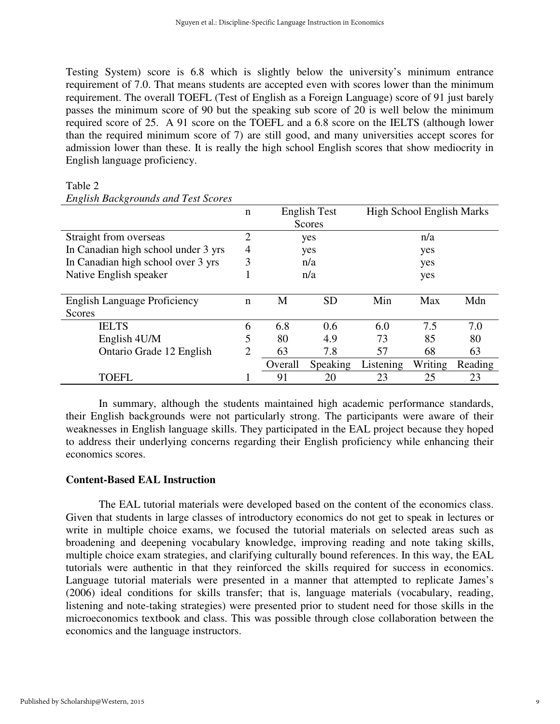Testing System) score is 6.8 which is slightly below the university's minimum entrance requirement of 7.0. That means students are accepted even with scores lower than the minimum requirement. The overall TOEFL (Test of English as a Foreign Language) score of 91 just barely passes the minimum score of 90 but the speaking sub score of 20 is well below the minimum required score of 25. A 91 score on the TOEFL and a 6.8 score on the IELTS (although lower than the required minimum score of 7) are still good, and many universities accept scores for admission lower than these. It is really the high school English scores that show mediocrity in English language proficiency.

#### Table 2

|                                     | n | <b>English Test</b> |           | <b>High School English Marks</b> |         |         |
|-------------------------------------|---|---------------------|-----------|----------------------------------|---------|---------|
|                                     |   |                     | Scores    |                                  |         |         |
| Straight from overseas              | 2 |                     | yes       |                                  | n/a     |         |
| In Canadian high school under 3 yrs | 4 | yes                 |           | yes                              |         |         |
| In Canadian high school over 3 yrs  | 3 | n/a                 |           | yes                              |         |         |
| Native English speaker              |   | n/a                 |           | yes                              |         |         |
|                                     |   |                     |           |                                  |         |         |
| <b>English Language Proficiency</b> | n | М                   | <b>SD</b> | Min                              | Max     | Mdn     |
| Scores                              |   |                     |           |                                  |         |         |
| <b>IELTS</b>                        | 6 | 6.8                 | 0.6       | 6.0                              | 7.5     | 7.0     |
| English 4U/M                        | 5 | 80                  | 4.9       | 73                               | 85      | 80      |
| Ontario Grade 12 English            | 2 | 63                  | 7.8       | 57                               | 68      | 63      |
|                                     |   | Overall             | Speaking  | Listening                        | Writing | Reading |
| TOEFL                               |   | 91                  | 20        | 23                               | 25      | 23      |

## *English Backgrounds and Test Scores*

In summary, although the students maintained high academic performance standards, their English backgrounds were not particularly strong. The participants were aware of their weaknesses in English language skills. They participated in the EAL project because they hoped to address their underlying concerns regarding their English proficiency while enhancing their economics scores.

## **Content-Based EAL Instruction**

The EAL tutorial materials were developed based on the content of the economics class. Given that students in large classes of introductory economics do not get to speak in lectures or write in multiple choice exams, we focused the tutorial materials on selected areas such as broadening and deepening vocabulary knowledge, improving reading and note taking skills, multiple choice exam strategies, and clarifying culturally bound references. In this way, the EAL tutorials were authentic in that they reinforced the skills required for success in economics. Language tutorial materials were presented in a manner that attempted to replicate James's (2006) ideal conditions for skills transfer; that is, language materials (vocabulary, reading, listening and note-taking strategies) were presented prior to student need for those skills in the microeconomics textbook and class. This was possible through close collaboration between the economics and the language instructors.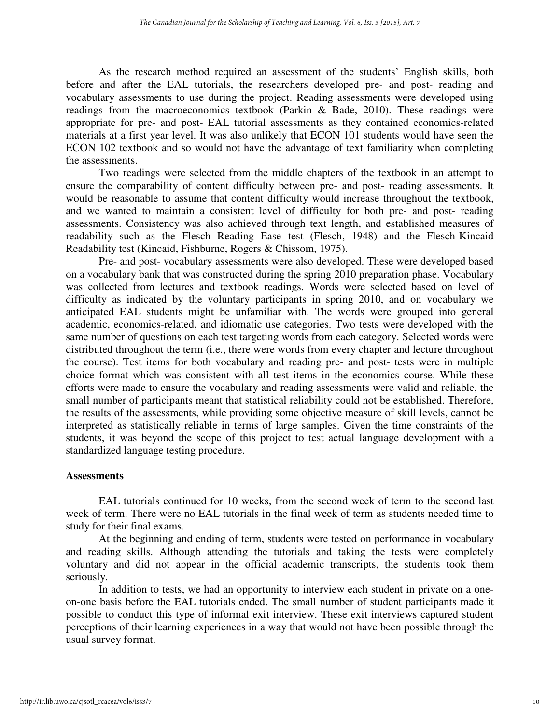As the research method required an assessment of the students' English skills, both before and after the EAL tutorials, the researchers developed pre- and post- reading and vocabulary assessments to use during the project. Reading assessments were developed using readings from the macroeconomics textbook (Parkin & Bade, 2010). These readings were appropriate for pre- and post- EAL tutorial assessments as they contained economics-related materials at a first year level. It was also unlikely that ECON 101 students would have seen the ECON 102 textbook and so would not have the advantage of text familiarity when completing the assessments.

Two readings were selected from the middle chapters of the textbook in an attempt to ensure the comparability of content difficulty between pre- and post- reading assessments. It would be reasonable to assume that content difficulty would increase throughout the textbook, and we wanted to maintain a consistent level of difficulty for both pre- and post- reading assessments. Consistency was also achieved through text length, and established measures of readability such as the Flesch Reading Ease test (Flesch, 1948) and the Flesch-Kincaid Readability test (Kincaid, Fishburne, Rogers & Chissom, 1975).

Pre- and post- vocabulary assessments were also developed. These were developed based on a vocabulary bank that was constructed during the spring 2010 preparation phase. Vocabulary was collected from lectures and textbook readings. Words were selected based on level of difficulty as indicated by the voluntary participants in spring 2010, and on vocabulary we anticipated EAL students might be unfamiliar with. The words were grouped into general academic, economics-related, and idiomatic use categories. Two tests were developed with the same number of questions on each test targeting words from each category. Selected words were distributed throughout the term (i.e., there were words from every chapter and lecture throughout the course). Test items for both vocabulary and reading pre- and post- tests were in multiple choice format which was consistent with all test items in the economics course. While these efforts were made to ensure the vocabulary and reading assessments were valid and reliable, the small number of participants meant that statistical reliability could not be established. Therefore, the results of the assessments, while providing some objective measure of skill levels, cannot be interpreted as statistically reliable in terms of large samples. Given the time constraints of the students, it was beyond the scope of this project to test actual language development with a standardized language testing procedure.

#### **Assessments**

EAL tutorials continued for 10 weeks, from the second week of term to the second last week of term. There were no EAL tutorials in the final week of term as students needed time to study for their final exams.

At the beginning and ending of term, students were tested on performance in vocabulary and reading skills. Although attending the tutorials and taking the tests were completely voluntary and did not appear in the official academic transcripts, the students took them seriously.

In addition to tests, we had an opportunity to interview each student in private on a oneon-one basis before the EAL tutorials ended. The small number of student participants made it possible to conduct this type of informal exit interview. These exit interviews captured student perceptions of their learning experiences in a way that would not have been possible through the usual survey format.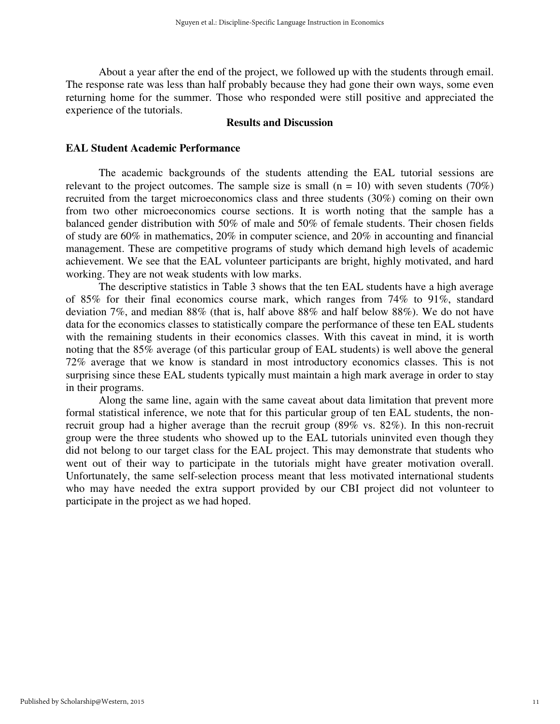About a year after the end of the project, we followed up with the students through email. The response rate was less than half probably because they had gone their own ways, some even returning home for the summer. Those who responded were still positive and appreciated the experience of the tutorials.

## **Results and Discussion**

#### **EAL Student Academic Performance**

The academic backgrounds of the students attending the EAL tutorial sessions are relevant to the project outcomes. The sample size is small  $(n = 10)$  with seven students (70%) recruited from the target microeconomics class and three students (30%) coming on their own from two other microeconomics course sections. It is worth noting that the sample has a balanced gender distribution with 50% of male and 50% of female students. Their chosen fields of study are 60% in mathematics, 20% in computer science, and 20% in accounting and financial management. These are competitive programs of study which demand high levels of academic achievement. We see that the EAL volunteer participants are bright, highly motivated, and hard working. They are not weak students with low marks.

The descriptive statistics in Table 3 shows that the ten EAL students have a high average of 85% for their final economics course mark, which ranges from 74% to 91%, standard deviation 7%, and median 88% (that is, half above 88% and half below 88%). We do not have data for the economics classes to statistically compare the performance of these ten EAL students with the remaining students in their economics classes. With this caveat in mind, it is worth noting that the 85% average (of this particular group of EAL students) is well above the general 72% average that we know is standard in most introductory economics classes. This is not surprising since these EAL students typically must maintain a high mark average in order to stay in their programs.

Along the same line, again with the same caveat about data limitation that prevent more formal statistical inference, we note that for this particular group of ten EAL students, the nonrecruit group had a higher average than the recruit group (89% vs. 82%). In this non-recruit group were the three students who showed up to the EAL tutorials uninvited even though they did not belong to our target class for the EAL project. This may demonstrate that students who went out of their way to participate in the tutorials might have greater motivation overall. Unfortunately, the same self-selection process meant that less motivated international students who may have needed the extra support provided by our CBI project did not volunteer to participate in the project as we had hoped.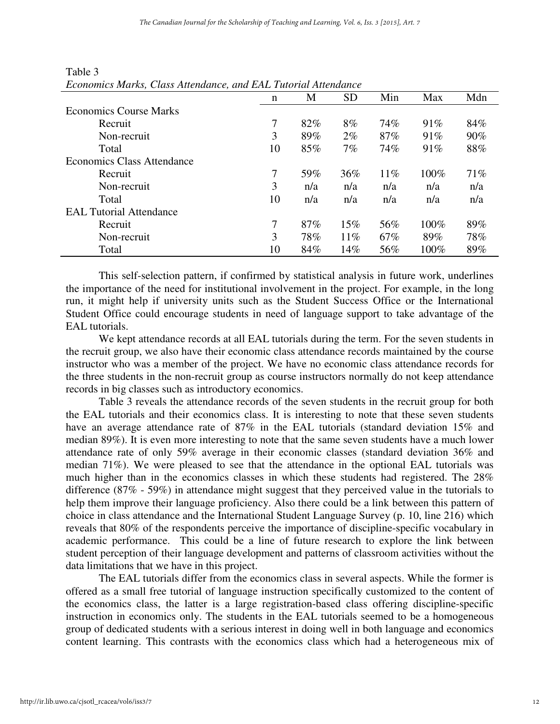| Economics Marks, Class Altendance, and EAL I dioridi Altendance |    |     |           |     |      |     |
|-----------------------------------------------------------------|----|-----|-----------|-----|------|-----|
|                                                                 | n  | M   | <b>SD</b> | Min | Max  | Mdn |
| <b>Economics Course Marks</b>                                   |    |     |           |     |      |     |
| Recruit                                                         | 7  | 82% | 8%        | 74% | 91%  | 84% |
| Non-recruit                                                     | 3  | 89% | $2\%$     | 87% | 91%  | 90% |
| Total                                                           | 10 | 85% | $7\%$     | 74% | 91%  | 88% |
| <b>Economics Class Attendance</b>                               |    |     |           |     |      |     |
| Recruit                                                         | 7  | 59% | 36%       | 11% | 100% | 71% |
| Non-recruit                                                     | 3  | n/a | n/a       | n/a | n/a  | n/a |
| Total                                                           | 10 | n/a | n/a       | n/a | n/a  | n/a |
| <b>EAL Tutorial Attendance</b>                                  |    |     |           |     |      |     |
| Recruit                                                         | 7  | 87% | 15%       | 56% | 100% | 89% |
| Non-recruit                                                     | 3  | 78% | $11\%$    | 67% | 89%  | 78% |
| Total                                                           | 10 | 84% | 14%       | 56% | 100% | 89% |

## Table 3 *Economics Marks, Class Attendance, and EAL Tutorial Attendance*

This self-selection pattern, if confirmed by statistical analysis in future work, underlines the importance of the need for institutional involvement in the project. For example, in the long run, it might help if university units such as the Student Success Office or the International Student Office could encourage students in need of language support to take advantage of the EAL tutorials.

We kept attendance records at all EAL tutorials during the term. For the seven students in the recruit group, we also have their economic class attendance records maintained by the course instructor who was a member of the project. We have no economic class attendance records for the three students in the non-recruit group as course instructors normally do not keep attendance records in big classes such as introductory economics.

Table 3 reveals the attendance records of the seven students in the recruit group for both the EAL tutorials and their economics class. It is interesting to note that these seven students have an average attendance rate of 87% in the EAL tutorials (standard deviation 15% and median 89%). It is even more interesting to note that the same seven students have a much lower attendance rate of only 59% average in their economic classes (standard deviation 36% and median 71%). We were pleased to see that the attendance in the optional EAL tutorials was much higher than in the economics classes in which these students had registered. The 28% difference (87% - 59%) in attendance might suggest that they perceived value in the tutorials to help them improve their language proficiency. Also there could be a link between this pattern of choice in class attendance and the International Student Language Survey (p. 10, line 216) which reveals that 80% of the respondents perceive the importance of discipline-specific vocabulary in academic performance. This could be a line of future research to explore the link between student perception of their language development and patterns of classroom activities without the data limitations that we have in this project.

The EAL tutorials differ from the economics class in several aspects. While the former is offered as a small free tutorial of language instruction specifically customized to the content of the economics class, the latter is a large registration-based class offering discipline-specific instruction in economics only. The students in the EAL tutorials seemed to be a homogeneous group of dedicated students with a serious interest in doing well in both language and economics content learning. This contrasts with the economics class which had a heterogeneous mix of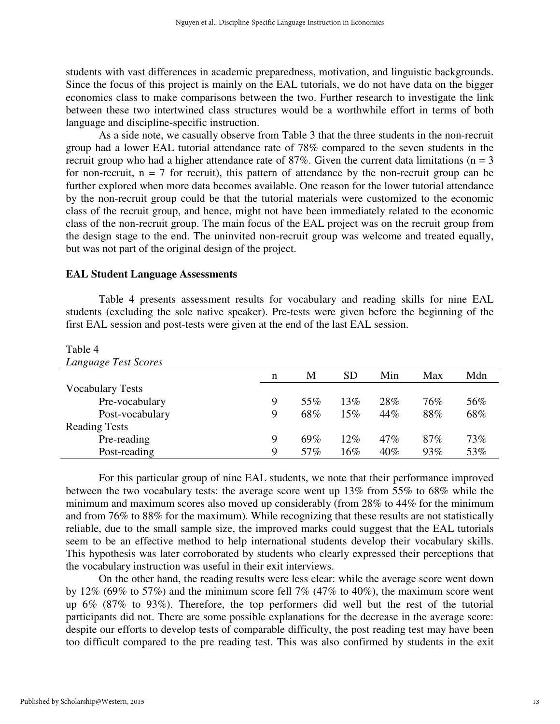students with vast differences in academic preparedness, motivation, and linguistic backgrounds. Since the focus of this project is mainly on the EAL tutorials, we do not have data on the bigger economics class to make comparisons between the two. Further research to investigate the link between these two intertwined class structures would be a worthwhile effort in terms of both language and discipline-specific instruction.

As a side note, we casually observe from Table 3 that the three students in the non-recruit group had a lower EAL tutorial attendance rate of 78% compared to the seven students in the recruit group who had a higher attendance rate of  $87\%$ . Given the current data limitations (n = 3 for non-recruit,  $n = 7$  for recruit), this pattern of attendance by the non-recruit group can be further explored when more data becomes available. One reason for the lower tutorial attendance by the non-recruit group could be that the tutorial materials were customized to the economic class of the recruit group, and hence, might not have been immediately related to the economic class of the non-recruit group. The main focus of the EAL project was on the recruit group from the design stage to the end. The uninvited non-recruit group was welcome and treated equally, but was not part of the original design of the project.

## **EAL Student Language Assessments**

Table 4 presents assessment results for vocabulary and reading skills for nine EAL students (excluding the sole native speaker). Pre-tests were given before the beginning of the first EAL session and post-tests were given at the end of the last EAL session.

#### Table 4

| Language Test Scores    |   |     |           |     |     |     |
|-------------------------|---|-----|-----------|-----|-----|-----|
|                         | n | M   | <b>SD</b> | Min | Max | Mdn |
| <b>Vocabulary Tests</b> |   |     |           |     |     |     |
| Pre-vocabulary          | 9 | 55% | 13%       | 28% | 76% | 56% |
| Post-vocabulary         | 9 | 68% | 15%       | 44% | 88% | 68% |
| <b>Reading Tests</b>    |   |     |           |     |     |     |
| Pre-reading             | 9 | 69% | $12\%$    | 47% | 87% | 73% |
| Post-reading            | 9 | 57% | 16%       | 40% | 93% | 53% |

For this particular group of nine EAL students, we note that their performance improved between the two vocabulary tests: the average score went up 13% from 55% to 68% while the minimum and maximum scores also moved up considerably (from 28% to 44% for the minimum and from 76% to 88% for the maximum). While recognizing that these results are not statistically reliable, due to the small sample size, the improved marks could suggest that the EAL tutorials seem to be an effective method to help international students develop their vocabulary skills. This hypothesis was later corroborated by students who clearly expressed their perceptions that the vocabulary instruction was useful in their exit interviews.

On the other hand, the reading results were less clear: while the average score went down by 12% (69% to 57%) and the minimum score fell 7% (47% to 40%), the maximum score went up 6% (87% to 93%). Therefore, the top performers did well but the rest of the tutorial participants did not. There are some possible explanations for the decrease in the average score: despite our efforts to develop tests of comparable difficulty, the post reading test may have been too difficult compared to the pre reading test. This was also confirmed by students in the exit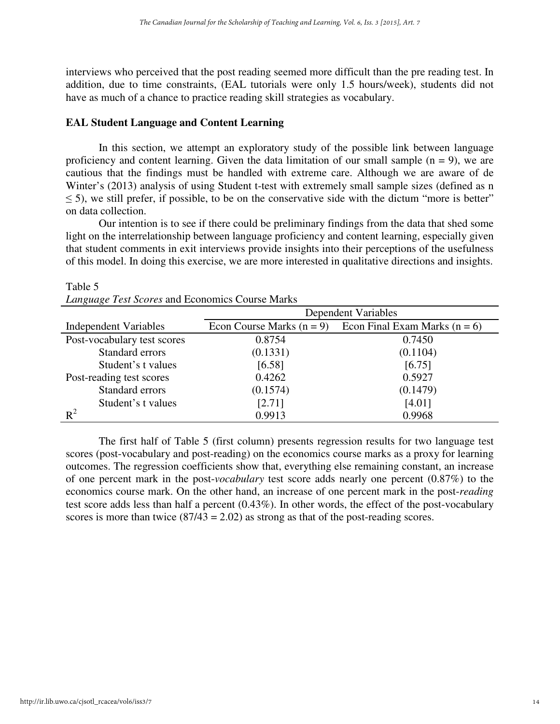interviews who perceived that the post reading seemed more difficult than the pre reading test. In addition, due to time constraints, (EAL tutorials were only 1.5 hours/week), students did not have as much of a chance to practice reading skill strategies as vocabulary.

## **EAL Student Language and Content Learning**

In this section, we attempt an exploratory study of the possible link between language proficiency and content learning. Given the data limitation of our small sample  $(n = 9)$ , we are cautious that the findings must be handled with extreme care. Although we are aware of de Winter's (2013) analysis of using Student t-test with extremely small sample sizes (defined as n  $\leq$  5), we still prefer, if possible, to be on the conservative side with the dictum "more is better" on data collection.

Our intention is to see if there could be preliminary findings from the data that shed some light on the interrelationship between language proficiency and content learning, especially given that student comments in exit interviews provide insights into their perceptions of the usefulness of this model. In doing this exercise, we are more interested in qualitative directions and insights.

|                              | <b>Dependent Variables</b>  |                                 |  |  |  |
|------------------------------|-----------------------------|---------------------------------|--|--|--|
| <b>Independent Variables</b> | Econ Course Marks $(n = 9)$ | Econ Final Exam Marks $(n = 6)$ |  |  |  |
| Post-vocabulary test scores  | 0.8754                      | 0.7450                          |  |  |  |
| Standard errors              | (0.1331)                    | (0.1104)                        |  |  |  |
| Student's t values           | [6.58]                      | [6.75]                          |  |  |  |
| Post-reading test scores     | 0.4262                      | 0.5927                          |  |  |  |
| Standard errors              | (0.1574)                    | (0.1479)                        |  |  |  |
| Student's t values           | [2.71]                      | [4.01]                          |  |  |  |
| $R^2$                        | 0.9913                      | 0.9968                          |  |  |  |

| Table 5                                         |  |
|-------------------------------------------------|--|
| Language Test Scores and Economics Course Marks |  |

The first half of Table 5 (first column) presents regression results for two language test scores (post-vocabulary and post-reading) on the economics course marks as a proxy for learning outcomes. The regression coefficients show that, everything else remaining constant, an increase of one percent mark in the post-*vocabulary* test score adds nearly one percent (0.87%) to the economics course mark. On the other hand, an increase of one percent mark in the post-*reading* test score adds less than half a percent (0.43%). In other words, the effect of the post-vocabulary scores is more than twice  $(87/43 = 2.02)$  as strong as that of the post-reading scores.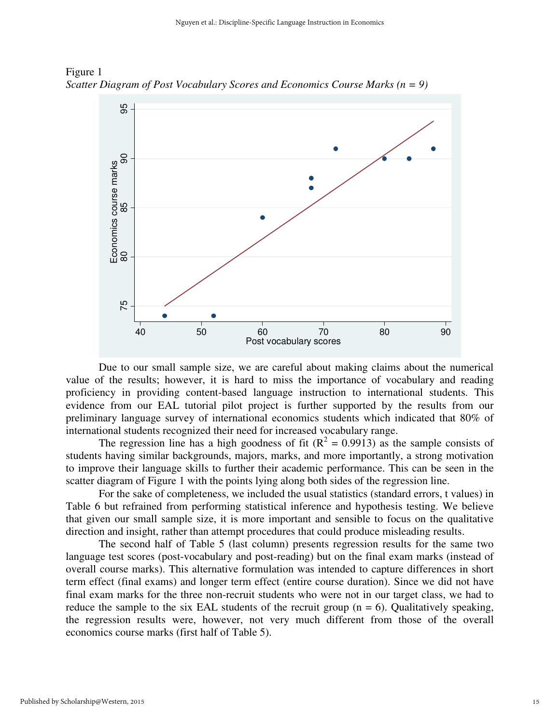

Figure 1 *Scatter Diagram of Post Vocabulary Scores and Economics Course Marks (n = 9)* 

Due to our small sample size, we are careful about making claims about the numerical value of the results; however, it is hard to miss the importance of vocabulary and reading proficiency in providing content-based language instruction to international students. This evidence from our EAL tutorial pilot project is further supported by the results from our preliminary language survey of international economics students which indicated that 80% of international students recognized their need for increased vocabulary range.

The regression line has a high goodness of fit ( $R^2 = 0.9913$ ) as the sample consists of students having similar backgrounds, majors, marks, and more importantly, a strong motivation to improve their language skills to further their academic performance. This can be seen in the scatter diagram of Figure 1 with the points lying along both sides of the regression line.

For the sake of completeness, we included the usual statistics (standard errors, t values) in Table 6 but refrained from performing statistical inference and hypothesis testing. We believe that given our small sample size, it is more important and sensible to focus on the qualitative direction and insight, rather than attempt procedures that could produce misleading results.

The second half of Table 5 (last column) presents regression results for the same two language test scores (post-vocabulary and post-reading) but on the final exam marks (instead of overall course marks). This alternative formulation was intended to capture differences in short term effect (final exams) and longer term effect (entire course duration). Since we did not have final exam marks for the three non-recruit students who were not in our target class, we had to reduce the sample to the six EAL students of the recruit group  $(n = 6)$ . Qualitatively speaking, the regression results were, however, not very much different from those of the overall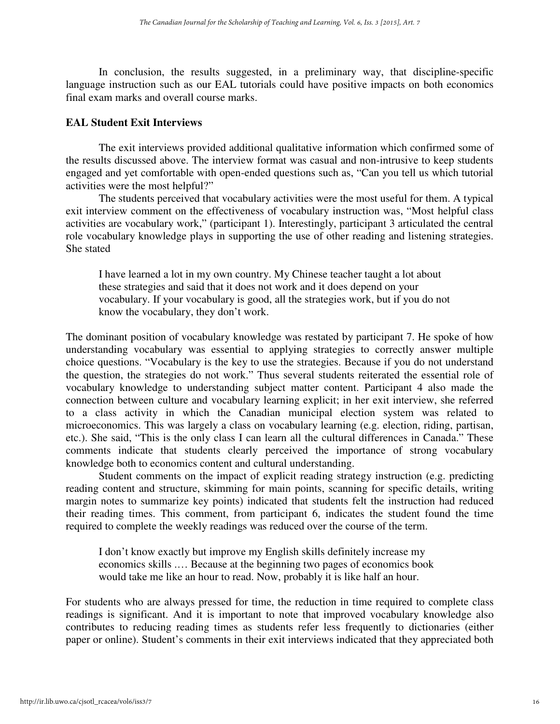In conclusion, the results suggested, in a preliminary way, that discipline-specific language instruction such as our EAL tutorials could have positive impacts on both economics final exam marks and overall course marks.

## **EAL Student Exit Interviews**

The exit interviews provided additional qualitative information which confirmed some of the results discussed above. The interview format was casual and non-intrusive to keep students engaged and yet comfortable with open-ended questions such as, "Can you tell us which tutorial activities were the most helpful?"

The students perceived that vocabulary activities were the most useful for them. A typical exit interview comment on the effectiveness of vocabulary instruction was, "Most helpful class activities are vocabulary work," (participant 1). Interestingly, participant 3 articulated the central role vocabulary knowledge plays in supporting the use of other reading and listening strategies. She stated

I have learned a lot in my own country. My Chinese teacher taught a lot about these strategies and said that it does not work and it does depend on your vocabulary. If your vocabulary is good, all the strategies work, but if you do not know the vocabulary, they don't work.

The dominant position of vocabulary knowledge was restated by participant 7. He spoke of how understanding vocabulary was essential to applying strategies to correctly answer multiple choice questions. "Vocabulary is the key to use the strategies. Because if you do not understand the question, the strategies do not work." Thus several students reiterated the essential role of vocabulary knowledge to understanding subject matter content. Participant 4 also made the connection between culture and vocabulary learning explicit; in her exit interview, she referred to a class activity in which the Canadian municipal election system was related to microeconomics. This was largely a class on vocabulary learning (e.g. election, riding, partisan, etc.). She said, "This is the only class I can learn all the cultural differences in Canada." These comments indicate that students clearly perceived the importance of strong vocabulary knowledge both to economics content and cultural understanding.

 Student comments on the impact of explicit reading strategy instruction (e.g. predicting reading content and structure, skimming for main points, scanning for specific details, writing margin notes to summarize key points) indicated that students felt the instruction had reduced their reading times. This comment, from participant 6, indicates the student found the time required to complete the weekly readings was reduced over the course of the term.

I don't know exactly but improve my English skills definitely increase my economics skills .… Because at the beginning two pages of economics book would take me like an hour to read. Now, probably it is like half an hour.

For students who are always pressed for time, the reduction in time required to complete class readings is significant. And it is important to note that improved vocabulary knowledge also contributes to reducing reading times as students refer less frequently to dictionaries (either paper or online). Student's comments in their exit interviews indicated that they appreciated both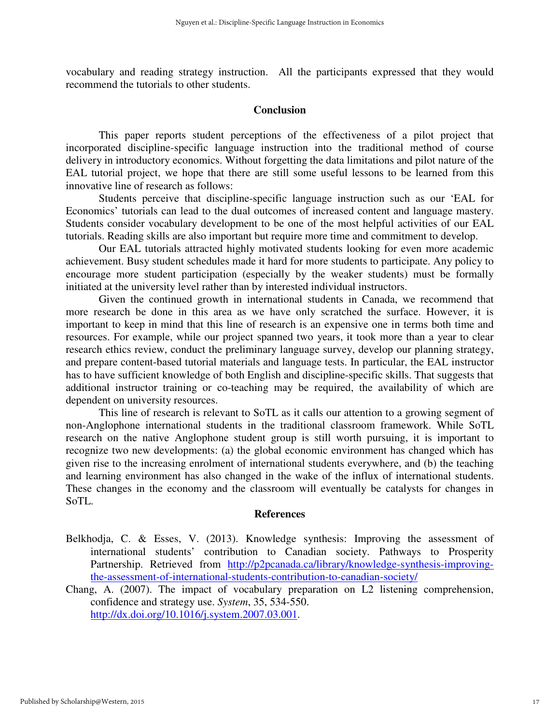vocabulary and reading strategy instruction. All the participants expressed that they would recommend the tutorials to other students.

#### **Conclusion**

This paper reports student perceptions of the effectiveness of a pilot project that incorporated discipline-specific language instruction into the traditional method of course delivery in introductory economics. Without forgetting the data limitations and pilot nature of the EAL tutorial project, we hope that there are still some useful lessons to be learned from this innovative line of research as follows:

Students perceive that discipline-specific language instruction such as our 'EAL for Economics' tutorials can lead to the dual outcomes of increased content and language mastery. Students consider vocabulary development to be one of the most helpful activities of our EAL tutorials. Reading skills are also important but require more time and commitment to develop.

Our EAL tutorials attracted highly motivated students looking for even more academic achievement. Busy student schedules made it hard for more students to participate. Any policy to encourage more student participation (especially by the weaker students) must be formally initiated at the university level rather than by interested individual instructors.

Given the continued growth in international students in Canada, we recommend that more research be done in this area as we have only scratched the surface. However, it is important to keep in mind that this line of research is an expensive one in terms both time and resources. For example, while our project spanned two years, it took more than a year to clear research ethics review, conduct the preliminary language survey, develop our planning strategy, and prepare content-based tutorial materials and language tests. In particular, the EAL instructor has to have sufficient knowledge of both English and discipline-specific skills. That suggests that additional instructor training or co-teaching may be required, the availability of which are dependent on university resources.

This line of research is relevant to SoTL as it calls our attention to a growing segment of non-Anglophone international students in the traditional classroom framework. While SoTL research on the native Anglophone student group is still worth pursuing, it is important to recognize two new developments: (a) the global economic environment has changed which has given rise to the increasing enrolment of international students everywhere, and (b) the teaching and learning environment has also changed in the wake of the influx of international students. These changes in the economy and the classroom will eventually be catalysts for changes in SoTL.

#### **References**

- Belkhodja, C. & Esses, V. (2013). Knowledge synthesis: Improving the assessment of international students' contribution to Canadian society. Pathways to Prosperity Partnership. Retrieved from http://p2pcanada.ca/library/knowledge-synthesis-improvingthe-assessment-of-international-students-contribution-to-canadian-society/
- Chang, A. (2007). The impact of vocabulary preparation on L2 listening comprehension, confidence and strategy use. *System*, 35, 534-550. http://dx.doi.org/10.1016/j.system.2007.03.001.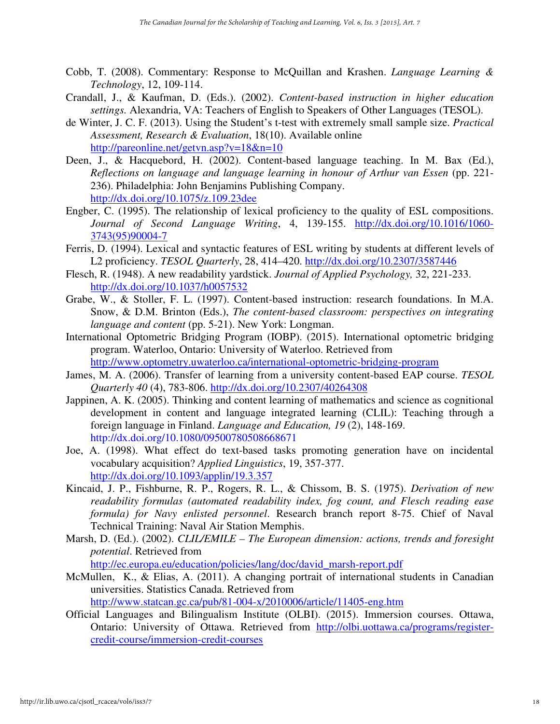- Cobb, T. (2008). Commentary: Response to McQuillan and Krashen. *Language Learning & Technology*, 12, 109-114.
- Crandall, J., & Kaufman, D. (Eds.). (2002). *Content-based instruction in higher education settings.* Alexandria, VA: Teachers of English to Speakers of Other Languages (TESOL).
- de Winter, J. C. F. (2013). Using the Student's t-test with extremely small sample size. *Practical Assessment, Research & Evaluation*, 18(10). Available online http://pareonline.net/getvn.asp?v=18&n=10
- Deen, J., & Hacquebord, H. (2002). Content-based language teaching. In M. Bax (Ed.), *Reflections on language and language learning in honour of Arthur van Essen* (pp. 221-236). Philadelphia: John Benjamins Publishing Company. http://dx.doi.org/10.1075/z.109.23dee
- Engber, C. (1995). The relationship of lexical proficiency to the quality of ESL compositions. *Journal of Second Language Writing*, 4, 139-155. http://dx.doi.org/10.1016/1060- 3743(95)90004-7
- Ferris, D. (1994). Lexical and syntactic features of ESL writing by students at different levels of L2 proficiency. *TESOL Quarterly*, 28, 414–420. http://dx.doi.org/10.2307/3587446
- Flesch, R. (1948). A new readability yardstick. *Journal of Applied Psychology,* 32, 221-233. http://dx.doi.org/10.1037/h0057532
- Grabe, W., & Stoller, F. L. (1997). Content-based instruction: research foundations. In M.A. Snow, & D.M. Brinton (Eds.), *The content-based classroom: perspectives on integrating language and content* (pp. 5-21). New York: Longman.
- International Optometric Bridging Program (IOBP). (2015). International optometric bridging program. Waterloo, Ontario: University of Waterloo. Retrieved from http://www.optometry.uwaterloo.ca/international-optometric-bridging-program
- James, M. A. (2006). Transfer of learning from a university content-based EAP course. *TESOL Quarterly 40* (4), 783-806. http://dx.doi.org/10.2307/40264308
- Jappinen, A. K. (2005). Thinking and content learning of mathematics and science as cognitional development in content and language integrated learning (CLIL): Teaching through a foreign language in Finland. *Language and Education, 19* (2), 148-169. http://dx.doi.org/10.1080/09500780508668671
- Joe, A. (1998). What effect do text-based tasks promoting generation have on incidental vocabulary acquisition? *Applied Linguistics*, 19, 357-377. http://dx.doi.org/10.1093/applin/19.3.357
- Kincaid, J. P., Fishburne, R. P., Rogers, R. L., & Chissom, B. S. (1975). *Derivation of new readability formulas (automated readability index, fog count, and Flesch reading ease formula) for Navy enlisted personnel*. Research branch report 8-75. Chief of Naval Technical Training: Naval Air Station Memphis.
- Marsh, D. (Ed.). (2002). *CLIL/EMILE The European dimension: actions, trends and foresight potential*. Retrieved from

http://ec.europa.eu/education/policies/lang/doc/david\_marsh-report.pdf

McMullen, K., & Elias, A. (2011). A changing portrait of international students in Canadian universities. Statistics Canada. Retrieved from http://www.statcan.gc.ca/pub/81-004-x/2010006/article/11405-eng.htm

Official Languages and Bilingualism Institute (OLBI). (2015). Immersion courses. Ottawa, Ontario: University of Ottawa. Retrieved from http://olbi.uottawa.ca/programs/registercredit-course/immersion-credit-courses